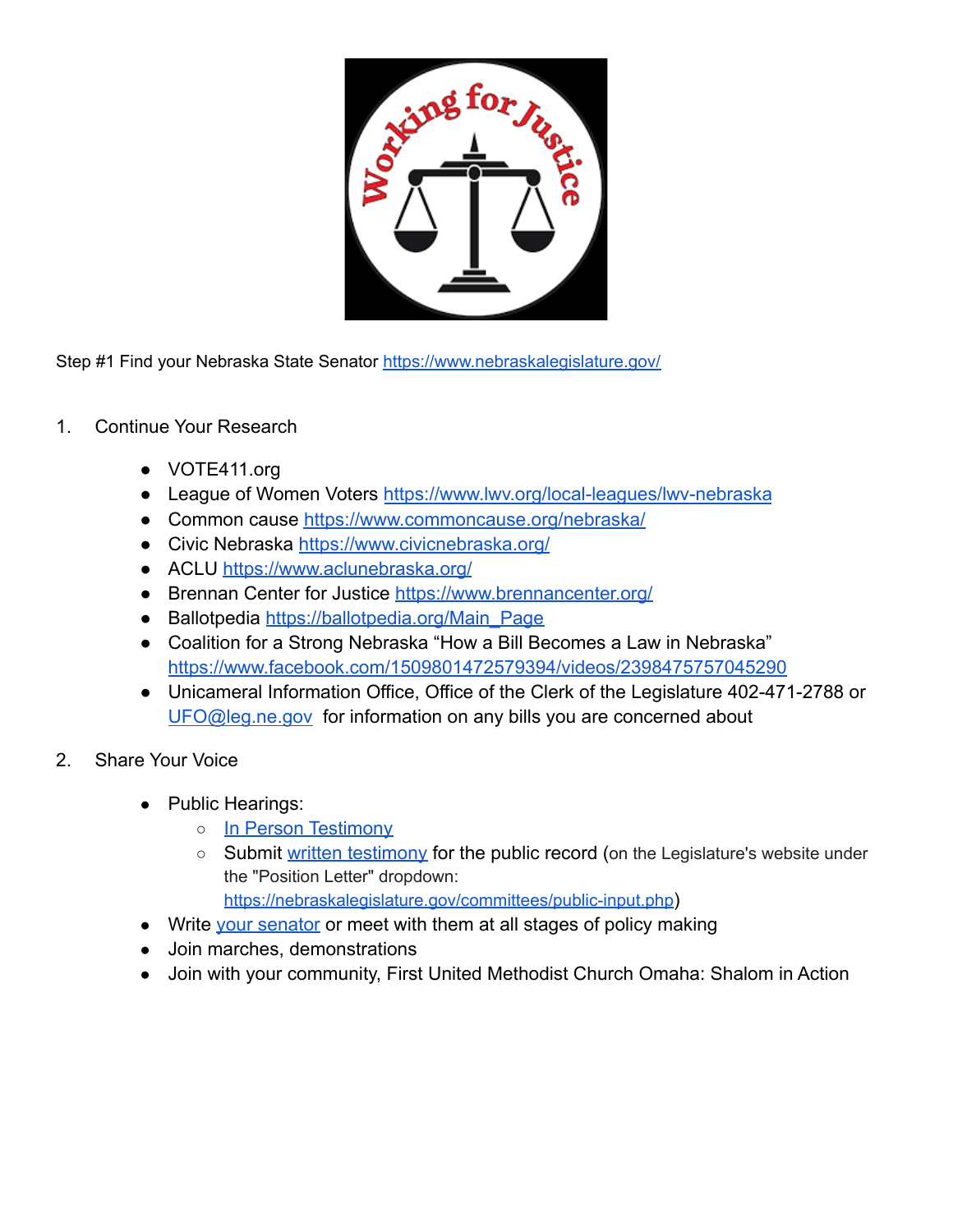

Step #1 Find your Nebraska State Senator <https://www.nebraskalegislature.gov/>

- 1. Continue Your Research
	- VOTE411.org
	- League of Women Voters <https://www.lwv.org/local-leagues/lwv-nebraska>
	- Common cause <https://www.commoncause.org/nebraska/>
	- Civic Nebraska <https://www.civicnebraska.org/>
	- ACLU <https://www.aclunebraska.org/>
	- Brennan Center for Justice <https://www.brennancenter.org/>
	- Ballotpedia [https://ballotpedia.org/Main\\_Page](https://ballotpedia.org/Main_Page)
	- Coalition for a Strong Nebraska "How a Bill Becomes a Law in Nebraska" <https://www.facebook.com/1509801472579394/videos/2398475757045290>
	- Unicameral Information Office, Office of the Clerk of the Legislature 402-471-2788 or [UFO@leg.ne.gov](mailto:UFO@leg.ne.gov) for information on any bills you are concerned about
- 2. Share Your Voice
	- Public Hearings:
		- [In Person Testimony](https://nebraskalegislature.gov/committees/public-input.php?emci=2109b3eb-756a-eb11-9889-00155d43c992&emdi=8e7718c8-026b-eb11-9889-00155d43c992&ceid=5093709)
		- Submit [written testimony](https://nebraskalegislature.gov/committees/public-input.php?emci=2109b3eb-756a-eb11-9889-00155d43c992&emdi=8e7718c8-026b-eb11-9889-00155d43c992&ceid=5093709) for the public record (on the Legislature's website under the "Position Letter" dropdown:

<https://nebraskalegislature.gov/committees/public-input.php>)

- Write [your senator](https://nebraskalegislature.gov/senators/senator_find.php) or meet with them at all stages of policy making
- Join marches, demonstrations
- Join with your community, First United Methodist Church Omaha: Shalom in Action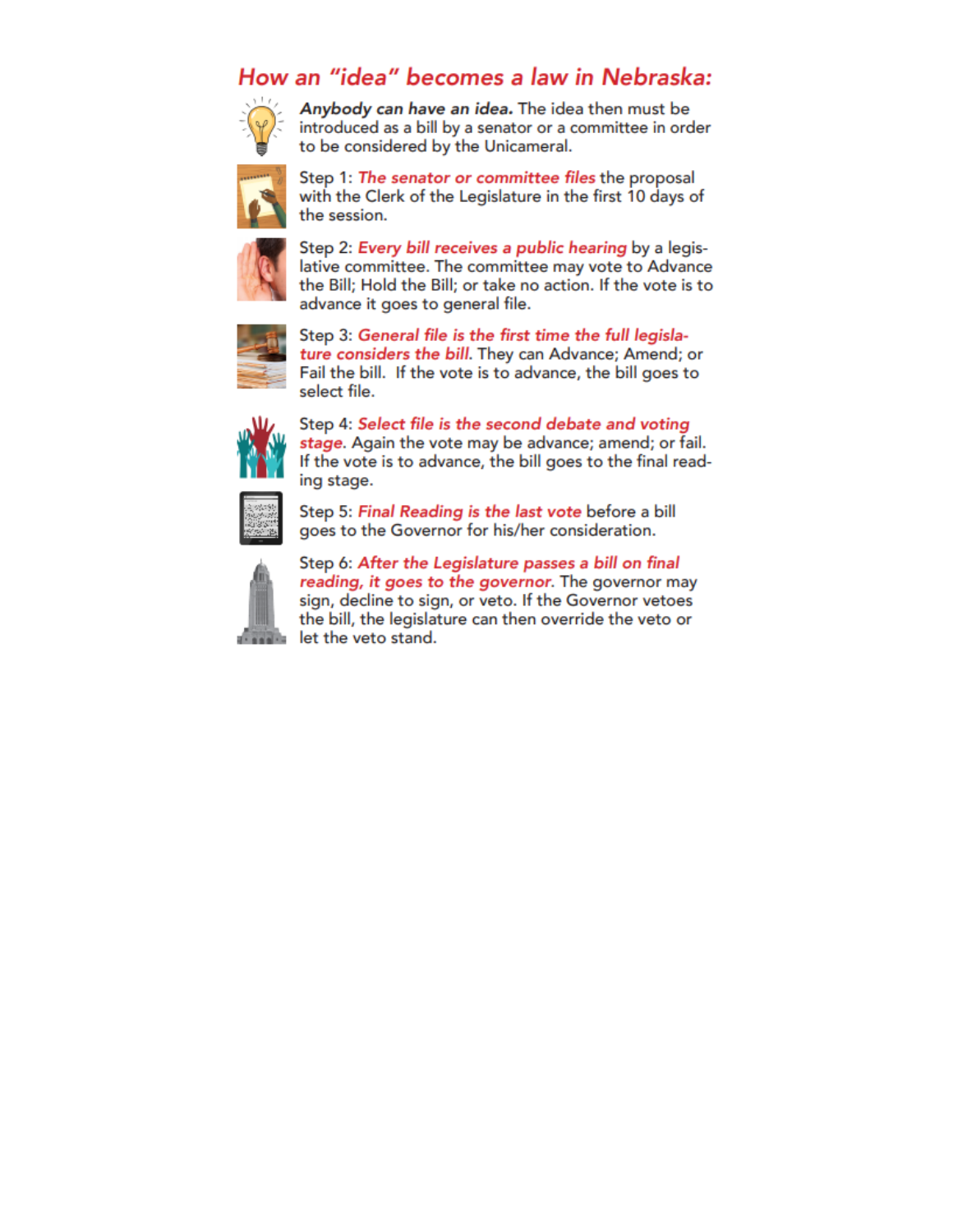## How an "idea" becomes a law in Nebraska:



Anybody can have an idea. The idea then must be introduced as a bill by a senator or a committee in order to be considered by the Unicameral.



Step 1: The senator or committee files the proposal with the Clerk of the Legislature in the first 10 days of the session.



Step 2: Every bill receives a public hearing by a legislative committee. The committee may vote to Advance the Bill; Hold the Bill; or take no action. If the vote is to advance it goes to general file.



Step 3: General file is the first time the full legislature considers the bill. They can Advance; Amend; or Fail the bill. If the vote is to advance, the bill goes to select file.



Step 4: Select file is the second debate and voting stage. Again the vote may be advance; amend; or fail. If the vote is to advance, the bill goes to the final reading stage.



Step 5: Final Reading is the last vote before a bill goes to the Governor for his/her consideration.



Step 6: After the Legislature passes a bill on final reading, it goes to the governor. The governor may sign, decline to sign, or veto. If the Governor vetoes the bill, the legislature can then override the veto or let the veto stand.